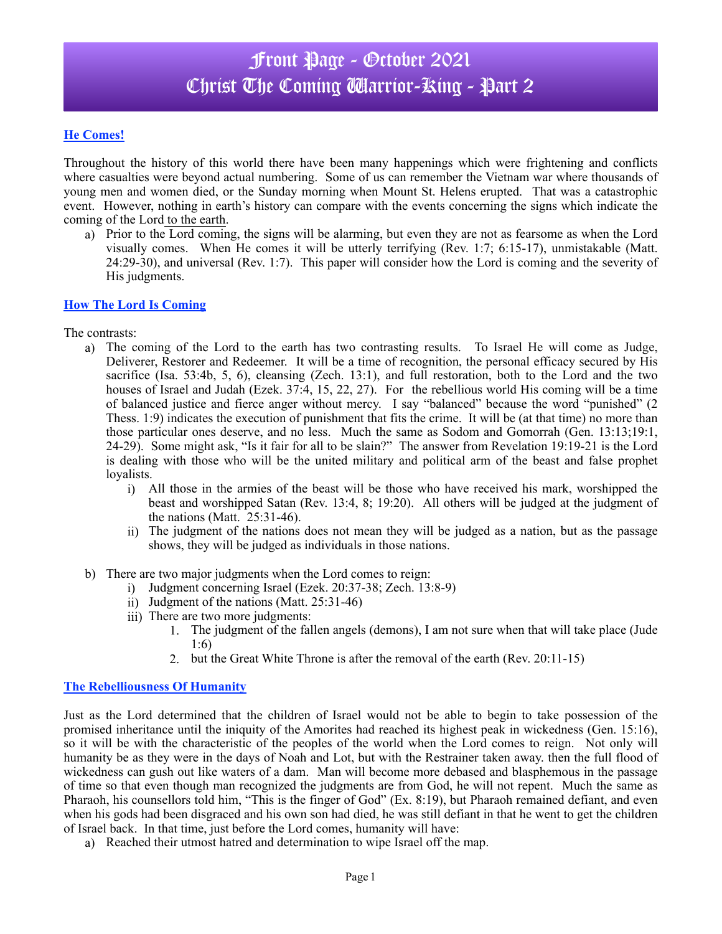# Front Page - October 2021 Christ The Coming **Warrior-King - Part 2**

## **He Comes!**

Throughout the history of this world there have been many happenings which were frightening and conflicts where casualties were beyond actual numbering. Some of us can remember the Vietnam war where thousands of young men and women died, or the Sunday morning when Mount St. Helens erupted. That was a catastrophic event. However, nothing in earth's history can compare with the events concerning the signs which indicate the coming of the Lord to the earth.

a) Prior to the Lord coming, the signs will be alarming, but even they are not as fearsome as when the Lord visually comes. When He comes it will be utterly terrifying (Rev. 1:7; 6:15-17), unmistakable (Matt. 24:29-30), and universal (Rev. 1:7). This paper will consider how the Lord is coming and the severity of His judgments.

## **How The Lord Is Coming**

The contrasts:

- a) The coming of the Lord to the earth has two contrasting results. To Israel He will come as Judge, Deliverer, Restorer and Redeemer. It will be a time of recognition, the personal efficacy secured by His sacrifice (Isa. 53:4b, 5, 6), cleansing (Zech. 13:1), and full restoration, both to the Lord and the two houses of Israel and Judah (Ezek. 37:4, 15, 22, 27). For the rebellious world His coming will be a time of balanced justice and fierce anger without mercy. I say "balanced" because the word "punished" (2 Thess. 1:9) indicates the execution of punishment that fits the crime. It will be (at that time) no more than those particular ones deserve, and no less. Much the same as Sodom and Gomorrah (Gen. 13:13;19:1, 24-29). Some might ask, "Is it fair for all to be slain?" The answer from Revelation 19:19-21 is the Lord is dealing with those who will be the united military and political arm of the beast and false prophet loyalists.
	- i) All those in the armies of the beast will be those who have received his mark, worshipped the beast and worshipped Satan (Rev. 13:4, 8; 19:20). All others will be judged at the judgment of the nations (Matt. 25:31-46).
	- ii) The judgment of the nations does not mean they will be judged as a nation, but as the passage shows, they will be judged as individuals in those nations.
- b) There are two major judgments when the Lord comes to reign:
	- i) Judgment concerning Israel (Ezek. 20:37-38; Zech. 13:8-9)
	- ii) Judgment of the nations (Matt. 25:31-46)
	- iii) There are two more judgments:
		- 1. The judgment of the fallen angels (demons), I am not sure when that will take place (Jude 1:6)
		- 2. but the Great White Throne is after the removal of the earth (Rev. 20:11-15)

#### **The Rebelliousness Of Humanity**

Just as the Lord determined that the children of Israel would not be able to begin to take possession of the promised inheritance until the iniquity of the Amorites had reached its highest peak in wickedness (Gen. 15:16), so it will be with the characteristic of the peoples of the world when the Lord comes to reign. Not only will humanity be as they were in the days of Noah and Lot, but with the Restrainer taken away. then the full flood of wickedness can gush out like waters of a dam. Man will become more debased and blasphemous in the passage of time so that even though man recognized the judgments are from God, he will not repent. Much the same as Pharaoh, his counsellors told him, "This is the finger of God" (Ex. 8:19), but Pharaoh remained defiant, and even when his gods had been disgraced and his own son had died, he was still defiant in that he went to get the children of Israel back. In that time, just before the Lord comes, humanity will have:

a) Reached their utmost hatred and determination to wipe Israel off the map.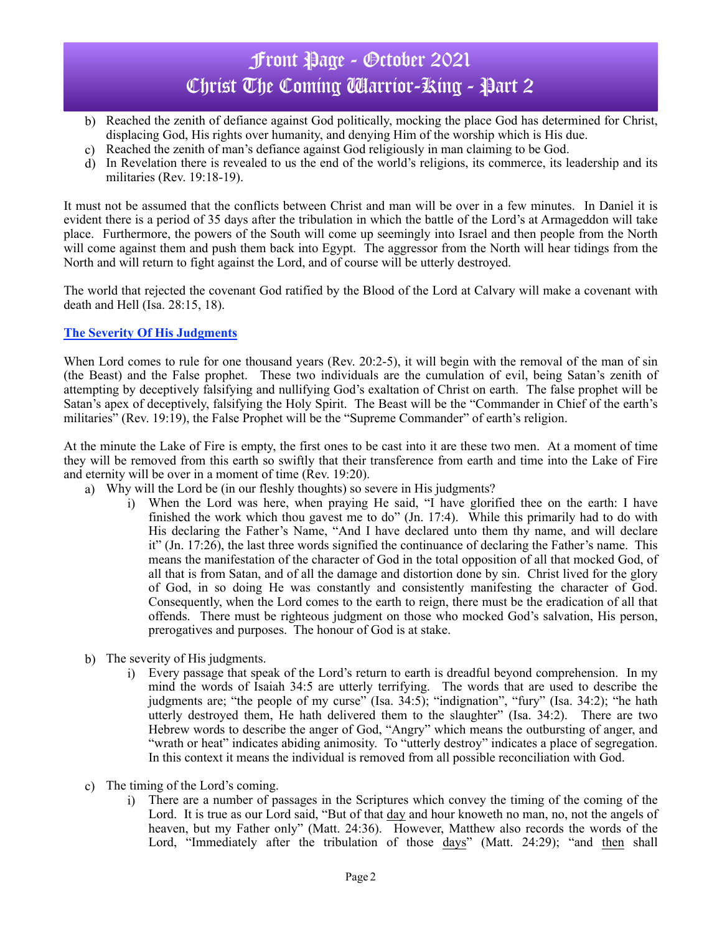# Front Page - October 2021 Christ The Coming **Warrior-King - Part 2**

- b) Reached the zenith of defiance against God politically, mocking the place God has determined for Christ, displacing God, His rights over humanity, and denying Him of the worship which is His due.
- c) Reached the zenith of man's defiance against God religiously in man claiming to be God.
- d) In Revelation there is revealed to us the end of the world's religions, its commerce, its leadership and its militaries (Rev. 19:18-19).

It must not be assumed that the conflicts between Christ and man will be over in a few minutes. In Daniel it is evident there is a period of 35 days after the tribulation in which the battle of the Lord's at Armageddon will take place. Furthermore, the powers of the South will come up seemingly into Israel and then people from the North will come against them and push them back into Egypt. The aggressor from the North will hear tidings from the North and will return to fight against the Lord, and of course will be utterly destroyed.

The world that rejected the covenant God ratified by the Blood of the Lord at Calvary will make a covenant with death and Hell (Isa. 28:15, 18).

## **The Severity Of His Judgments**

When Lord comes to rule for one thousand years (Rev. 20:2-5), it will begin with the removal of the man of sin (the Beast) and the False prophet. These two individuals are the cumulation of evil, being Satan's zenith of attempting by deceptively falsifying and nullifying God's exaltation of Christ on earth. The false prophet will be Satan's apex of deceptively, falsifying the Holy Spirit. The Beast will be the "Commander in Chief of the earth's militaries" (Rev. 19:19), the False Prophet will be the "Supreme Commander" of earth's religion.

At the minute the Lake of Fire is empty, the first ones to be cast into it are these two men. At a moment of time they will be removed from this earth so swiftly that their transference from earth and time into the Lake of Fire and eternity will be over in a moment of time (Rev. 19:20).

- a) Why will the Lord be (in our fleshly thoughts) so severe in His judgments?
	- i) When the Lord was here, when praying He said, "I have glorified thee on the earth: I have finished the work which thou gavest me to do" (Jn. 17:4). While this primarily had to do with His declaring the Father's Name, "And I have declared unto them thy name, and will declare it" (Jn. 17:26), the last three words signified the continuance of declaring the Father's name. This means the manifestation of the character of God in the total opposition of all that mocked God, of all that is from Satan, and of all the damage and distortion done by sin. Christ lived for the glory of God, in so doing He was constantly and consistently manifesting the character of God. Consequently, when the Lord comes to the earth to reign, there must be the eradication of all that offends. There must be righteous judgment on those who mocked God's salvation, His person, prerogatives and purposes. The honour of God is at stake.
- b) The severity of His judgments.
	- i) Every passage that speak of the Lord's return to earth is dreadful beyond comprehension. In my mind the words of Isaiah 34:5 are utterly terrifying. The words that are used to describe the judgments are; "the people of my curse" (Isa. 34:5); "indignation", "fury" (Isa. 34:2); "he hath utterly destroyed them, He hath delivered them to the slaughter" (Isa. 34:2). There are two Hebrew words to describe the anger of God, "Angry" which means the outbursting of anger, and "wrath or heat" indicates abiding animosity. To "utterly destroy" indicates a place of segregation. In this context it means the individual is removed from all possible reconciliation with God.
- c) The timing of the Lord's coming.
	- i) There are a number of passages in the Scriptures which convey the timing of the coming of the Lord. It is true as our Lord said, "But of that day and hour knoweth no man, no, not the angels of heaven, but my Father only" (Matt. 24:36). However, Matthew also records the words of the Lord, "Immediately after the tribulation of those days" (Matt. 24:29); "and then shall